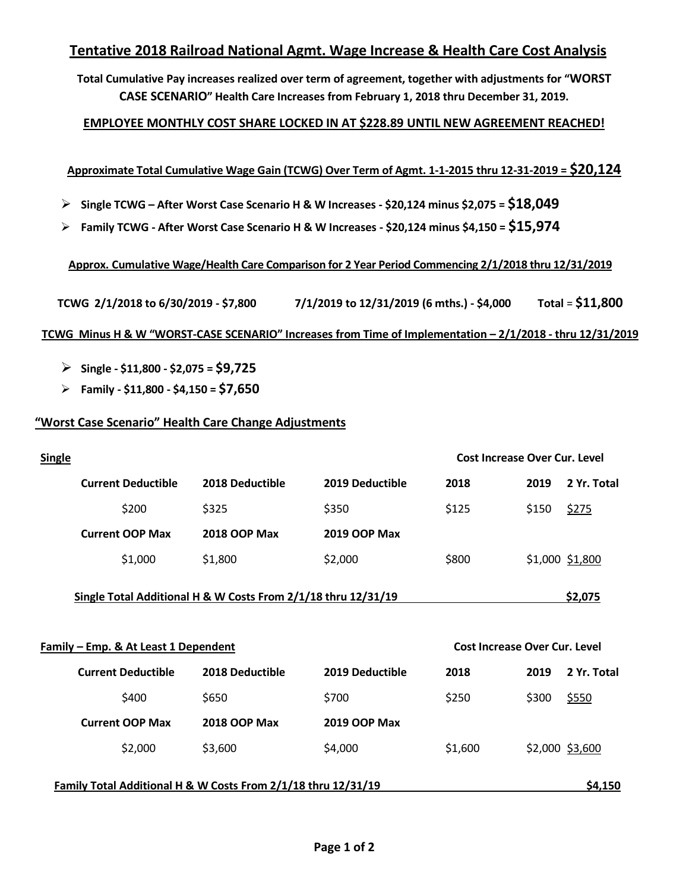# **Tentative 2018 Railroad National Agmt. Wage Increase & Health Care Cost Analysis**

**Total Cumulative Pay increases realized over term of agreement, together with adjustments for "WORST CASE SCENARIO" Health Care Increases from February 1, 2018 thru December 31, 2019.** 

## **EMPLOYEE MONTHLY COST SHARE LOCKED IN AT \$228.89 UNTIL NEW AGREEMENT REACHED!**

## **Approximate Total Cumulative Wage Gain (TCWG) Over Term of Agmt. 1-1-2015 thru 12-31-2019 = \$20,124**

- **Single TCWG – After Worst Case Scenario H & W Increases - \$20,124 minus \$2,075 = \$18,049**
- **Family TCWG - After Worst Case Scenario H & W Increases - \$20,124 minus \$4,150 = \$15,974**

## **Approx. Cumulative Wage/Health Care Comparison for 2 Year Period Commencing 2/1/2018 thru 12/31/2019**

**TCWG 2/1/2018 to 6/30/2019 - \$7,800 7/1/2019 to 12/31/2019 (6 mths.) - \$4,000 Total** = **\$11,800**

#### **TCWG Minus H & W "WORST-CASE SCENARIO" Increases from Time of Implementation – 2/1/2018 - thru 12/31/2019**

- **Single - \$11,800 - \$2,075 = \$9,725**
- **Family - \$11,800 - \$4,150 = \$7,650**

## **"Worst Case Scenario" Health Care Change Adjustments**

| <b>Single</b>                                                 |                     |                     |                                      | Cost Increase Over Cur. Level |                 |
|---------------------------------------------------------------|---------------------|---------------------|--------------------------------------|-------------------------------|-----------------|
| <b>Current Deductible</b>                                     | 2018 Deductible     | 2019 Deductible     | 2018                                 | 2019                          | 2 Yr. Total     |
| \$200                                                         | \$325               | \$350               | \$125                                | \$150                         | \$275           |
| <b>Current OOP Max</b>                                        | <b>2018 OOP Max</b> | <b>2019 OOP Max</b> |                                      |                               |                 |
| \$1,000                                                       | \$1,800             | \$2,000             | \$800                                |                               | \$1,000 \$1,800 |
| Single Total Additional H & W Costs From 2/1/18 thru 12/31/19 |                     |                     |                                      |                               | \$2,075         |
|                                                               |                     |                     |                                      |                               |                 |
| Family - Emp. & At Least 1 Dependent                          |                     |                     | <b>Cost Increase Over Cur. Level</b> |                               |                 |
| <b>Current Deductible</b>                                     | 2018 Deductible     | 2019 Deductible     | 2018                                 | 2019                          | 2 Yr. Total     |
| \$400                                                         | \$650               | \$700               | \$250                                | \$300                         | \$550           |
| <b>Current OOP Max</b>                                        | <b>2018 OOP Max</b> | <b>2019 OOP Max</b> |                                      |                               |                 |
| \$2,000                                                       | \$3,600             | \$4,000             | \$1,600                              |                               | \$2,000 \$3,600 |
| Family Total Additional H & W Costs From 2/1/18 thru 12/31/19 |                     |                     |                                      |                               | \$4,150         |